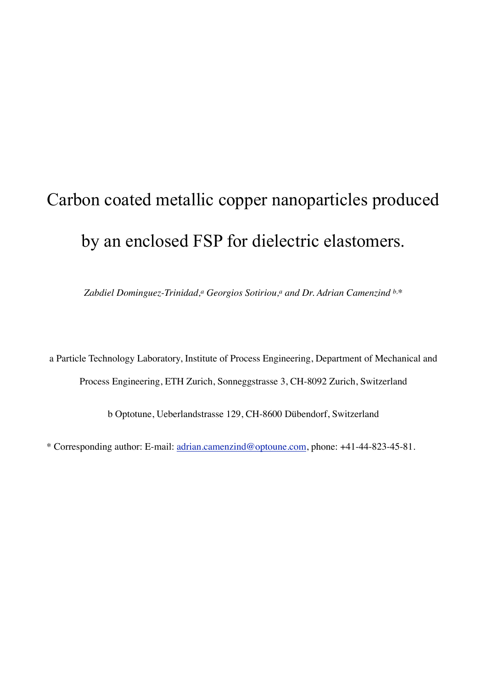### Carbon coated metallic copper nanoparticles produced by an enclosed FSP for dielectric elastomers.

Zabdiel Dominguez-Trinidad,<sup>a</sup> Georgios Sotiriou,<sup>a</sup> and Dr. Adrian Camenzind b,\*

a Particle Technology Laboratory, Institute of Process Engineering, Department of Mechanical and Process Engineering, ETH Zurich, Sonneggstrasse 3, CH-8092 Zurich, Switzerland

b Optotune, Ueberlandstrasse 129, CH-8600 Dübendorf, Switzerland

\* Corresponding author: E-mail: [adrian.camenzind@optoune.com](mailto:adrian.camenzind@optoune.com), phone: +41-44-823-45-81.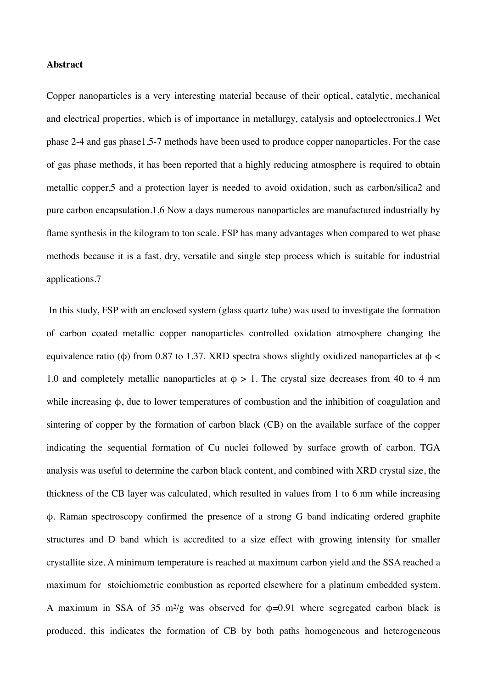#### **Abstract**

Copper nanoparticles is a very interesting material because of their optical, catalytic, mechanical and electrical properties, which is of importance in metallurgy, catalysis and optoelectronics.1 Wet phase 2-4 and gas phase1,5-7 methods have been used to produce copper nanoparticles. For the case of gas phase methods, it has been reported that a highly reducing atmosphere is required to obtain metallic copper,5 and a protection layer is needed to avoid oxidation, such as carbon/silica2 and pure carbon encapsulation.1,6 Now a days numerous nanoparticles are manufactured industrially by flame synthesis in the kilogram to ton scale. FSP has many advantages when compared to wet phase methods because it is a fast, dry, versatile and single step process which is suitable for industrial applications.7

In this study, FSP with an enclosed system (glass quartz tube) was used to investigate the formation of carbon coated metallic copper nanoparticles controlled oxidation atmosphere changing the equivalence ratio (φ) from 0.87 to 1.37. XRD spectra shows slightly oxidized nanoparticles at  $φ$  < 1.0 and completely metallic nanoparticles at  $\phi > 1$ . The crystal size decreases from 40 to 4 nm while increasing φ, due to lower temperatures of combustion and the inhibition of coagulation and sintering of copper by the formation of carbon black (CB) on the available surface of the copper indicating the sequential formation of Cu nuclei followed by surface growth of carbon. TGA analysis was useful to determine the carbon black content, and combined with XRD crystal size, the thickness of the CB layer was calculated, which resulted in values from 1 to 6 nm while increasing φ. Raman spectroscopy confirmed the presence of a strong G band indicating ordered graphite structures and D band which is accredited to a size effect with growing intensity for smaller crystallite size. A minimum temperature is reached at maximum carbon yield and the SSA reached a maximum for stoichiometric combustion as reported elsewhere for a platinum embedded system. A maximum in SSA of 35 m<sup>2</sup>/g was observed for  $\phi$ =0.91 where segregated carbon black is produced, this indicates the formation of CB by both paths homogeneous and heterogeneous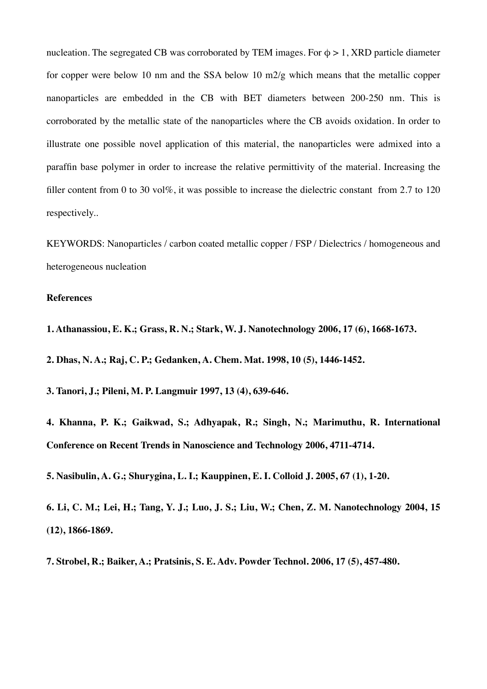nucleation. The segregated CB was corroborated by TEM images. For  $\phi > 1$ , XRD particle diameter for copper were below 10 nm and the SSA below 10 m2/g which means that the metallic copper nanoparticles are embedded in the CB with BET diameters between 200-250 nm. This is corroborated by the metallic state of the nanoparticles where the CB avoids oxidation. In order to illustrate one possible novel application of this material, the nanoparticles were admixed into a paraffin base polymer in order to increase the relative permittivity of the material. Increasing the filler content from 0 to 30 vol%, it was possible to increase the dielectric constant from 2.7 to 120 respectively..

KEYWORDS: Nanoparticles / carbon coated metallic copper / FSP / Dielectrics / homogeneous and heterogeneous nucleation

#### **References**

**1. Athanassiou, E. K.; Grass, R. N.; Stark, W. J. Nanotechnology 2006, 17 (6), 1668-1673.**

**2. Dhas, N. A.; Raj, C. P.; Gedanken, A. Chem. Mat. 1998, 10 (5), 1446-1452.**

**3. Tanori, J.; Pileni, M. P. Langmuir 1997, 13 (4), 639-646.**

**4. Khanna, P. K.; Gaikwad, S.; Adhyapak, R.; Singh, N.; Marimuthu, R. International Conference on Recent Trends in Nanoscience and Technology 2006, 4711-4714.**

**5. Nasibulin, A. G.; Shurygina, L. I.; Kauppinen, E. I. Colloid J. 2005, 67 (1), 1-20.**

**6. Li, C. M.; Lei, H.; Tang, Y. J.; Luo, J. S.; Liu, W.; Chen, Z. M. Nanotechnology 2004, 15 (12), 1866-1869.**

**7. Strobel, R.; Baiker, A.; Pratsinis, S. E. Adv. Powder Technol. 2006, 17 (5), 457-480.**